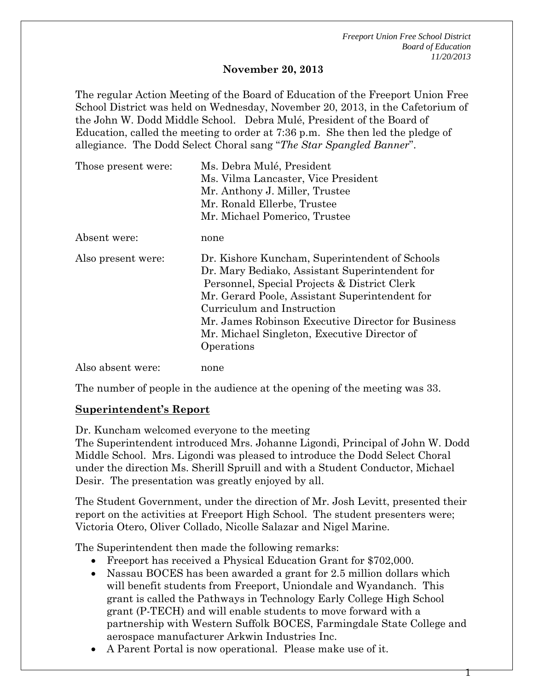1

#### **November 20, 2013**

The regular Action Meeting of the Board of Education of the Freeport Union Free School District was held on Wednesday, November 20, 2013, in the Cafetorium of the John W. Dodd Middle School. Debra Mulé, President of the Board of Education, called the meeting to order at 7:36 p.m. She then led the pledge of allegiance. The Dodd Select Choral sang "*The Star Spangled Banner*".

| Those present were: | Ms. Debra Mulé, President<br>Ms. Vilma Lancaster, Vice President<br>Mr. Anthony J. Miller, Trustee<br>Mr. Ronald Ellerbe, Trustee<br>Mr. Michael Pomerico, Trustee                                                                                                                                                                                   |
|---------------------|------------------------------------------------------------------------------------------------------------------------------------------------------------------------------------------------------------------------------------------------------------------------------------------------------------------------------------------------------|
| Absent were:        | none                                                                                                                                                                                                                                                                                                                                                 |
| Also present were:  | Dr. Kishore Kuncham, Superintendent of Schools<br>Dr. Mary Bediako, Assistant Superintendent for<br>Personnel, Special Projects & District Clerk<br>Mr. Gerard Poole, Assistant Superintendent for<br>Curriculum and Instruction<br>Mr. James Robinson Executive Director for Business<br>Mr. Michael Singleton, Executive Director of<br>Operations |
| Also absent were:   | none                                                                                                                                                                                                                                                                                                                                                 |

The number of people in the audience at the opening of the meeting was 33.

#### **Superintendent's Report**

Dr. Kuncham welcomed everyone to the meeting

The Superintendent introduced Mrs. Johanne Ligondi, Principal of John W. Dodd Middle School. Mrs. Ligondi was pleased to introduce the Dodd Select Choral under the direction Ms. Sherill Spruill and with a Student Conductor, Michael Desir. The presentation was greatly enjoyed by all.

The Student Government, under the direction of Mr. Josh Levitt, presented their report on the activities at Freeport High School. The student presenters were; Victoria Otero, Oliver Collado, Nicolle Salazar and Nigel Marine.

The Superintendent then made the following remarks:

- Freeport has received a Physical Education Grant for \$702,000.
- Nassau BOCES has been awarded a grant for 2.5 million dollars which will benefit students from Freeport, Uniondale and Wyandanch. This grant is called the Pathways in Technology Early College High School grant (P-TECH) and will enable students to move forward with a partnership with Western Suffolk BOCES, Farmingdale State College and aerospace manufacturer Arkwin Industries Inc.
- A Parent Portal is now operational. Please make use of it.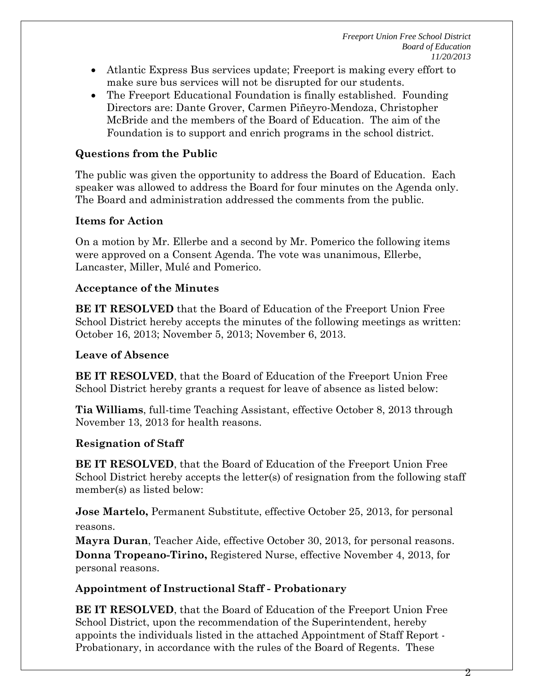- Atlantic Express Bus services update; Freeport is making every effort to make sure bus services will not be disrupted for our students.
- The Freeport Educational Foundation is finally established. Founding Directors are: Dante Grover, Carmen Piñeyro-Mendoza, Christopher McBride and the members of the Board of Education. The aim of the Foundation is to support and enrich programs in the school district.

## **Questions from the Public**

The public was given the opportunity to address the Board of Education. Each speaker was allowed to address the Board for four minutes on the Agenda only. The Board and administration addressed the comments from the public.

### **Items for Action**

On a motion by Mr. Ellerbe and a second by Mr. Pomerico the following items were approved on a Consent Agenda. The vote was unanimous, Ellerbe, Lancaster, Miller, Mulé and Pomerico.

### **Acceptance of the Minutes**

**BE IT RESOLVED** that the Board of Education of the Freeport Union Free School District hereby accepts the minutes of the following meetings as written: October 16, 2013; November 5, 2013; November 6, 2013.

### **Leave of Absence**

**BE IT RESOLVED**, that the Board of Education of the Freeport Union Free School District hereby grants a request for leave of absence as listed below:

**Tia Williams**, full-time Teaching Assistant, effective October 8, 2013 through November 13, 2013 for health reasons.

## **Resignation of Staff**

**BE IT RESOLVED**, that the Board of Education of the Freeport Union Free School District hereby accepts the letter(s) of resignation from the following staff member(s) as listed below:

**Jose Martelo, Permanent Substitute, effective October 25, 2013, for personal** reasons.

**Mayra Duran**, Teacher Aide, effective October 30, 2013, for personal reasons. **Donna Tropeano-Tirino,** Registered Nurse, effective November 4, 2013, for personal reasons.

## **Appointment of Instructional Staff - Probationary**

**BE IT RESOLVED**, that the Board of Education of the Freeport Union Free School District, upon the recommendation of the Superintendent, hereby appoints the individuals listed in the attached Appointment of Staff Report - Probationary, in accordance with the rules of the Board of Regents. These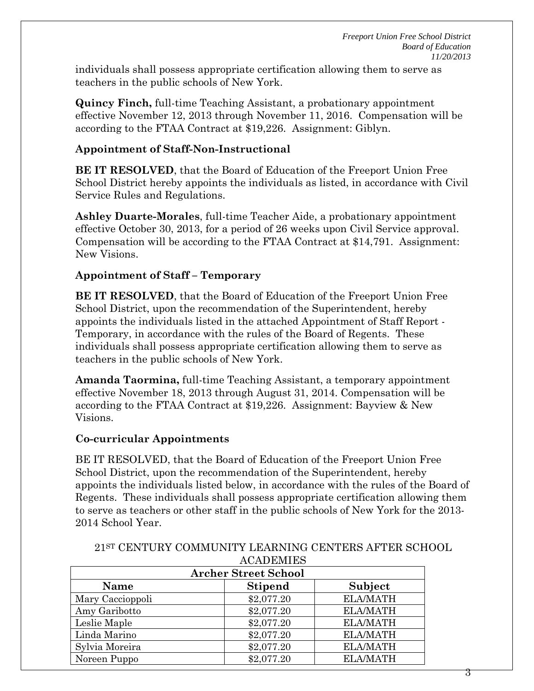individuals shall possess appropriate certification allowing them to serve as teachers in the public schools of New York.

**Quincy Finch,** full-time Teaching Assistant, a probationary appointment effective November 12, 2013 through November 11, 2016. Compensation will be according to the FTAA Contract at \$19,226. Assignment: Giblyn.

### **Appointment of Staff-Non-Instructional**

**BE IT RESOLVED**, that the Board of Education of the Freeport Union Free School District hereby appoints the individuals as listed, in accordance with Civil Service Rules and Regulations.

**Ashley Duarte-Morales**, full-time Teacher Aide, a probationary appointment effective October 30, 2013, for a period of 26 weeks upon Civil Service approval. Compensation will be according to the FTAA Contract at \$14,791. Assignment: New Visions.

### **Appointment of Staff – Temporary**

**BE IT RESOLVED**, that the Board of Education of the Freeport Union Free School District, upon the recommendation of the Superintendent, hereby appoints the individuals listed in the attached Appointment of Staff Report - Temporary, in accordance with the rules of the Board of Regents. These individuals shall possess appropriate certification allowing them to serve as teachers in the public schools of New York.

**Amanda Taormina,** full-time Teaching Assistant, a temporary appointment effective November 18, 2013 through August 31, 2014. Compensation will be according to the FTAA Contract at \$19,226. Assignment: Bayview & New Visions.

### **Co-curricular Appointments**

BE IT RESOLVED, that the Board of Education of the Freeport Union Free School District, upon the recommendation of the Superintendent, hereby appoints the individuals listed below, in accordance with the rules of the Board of Regents. These individuals shall possess appropriate certification allowing them to serve as teachers or other staff in the public schools of New York for the 2013- 2014 School Year.

|                             | AUADEMIED      |                 |  |  |
|-----------------------------|----------------|-----------------|--|--|
| <b>Archer Street School</b> |                |                 |  |  |
| Name                        | <b>Stipend</b> | Subject         |  |  |
| Mary Caccioppoli            | \$2,077.20     | <b>ELA/MATH</b> |  |  |
| Amy Garibotto               | \$2,077.20     | <b>ELA/MATH</b> |  |  |
| Leslie Maple                | \$2,077.20     | <b>ELA/MATH</b> |  |  |
| Linda Marino                | \$2,077.20     | <b>ELA/MATH</b> |  |  |
| Sylvia Moreira              | \$2,077.20     | <b>ELA/MATH</b> |  |  |
| Noreen Puppo                | \$2,077.20     | <b>ELA/MATH</b> |  |  |

21ST CENTURY COMMUNITY LEARNING CENTERS AFTER SCHOOL **ACADEMIES**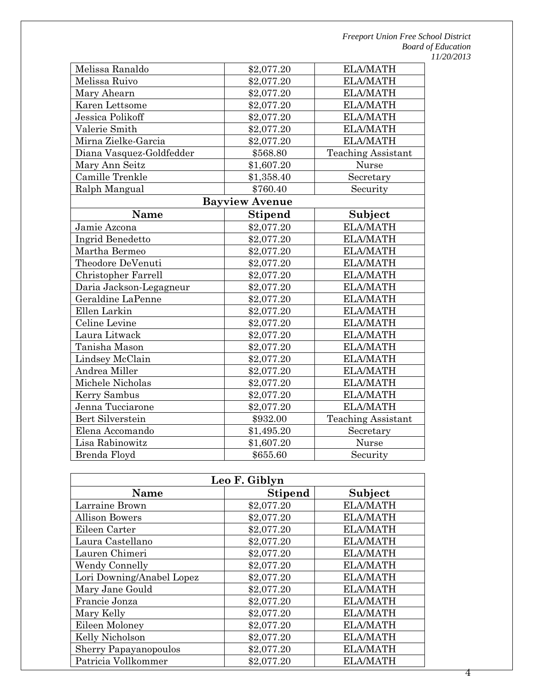| Melissa Ranaldo          | \$2,077.20            | <b>ELA/MATH</b>           |
|--------------------------|-----------------------|---------------------------|
| Melissa Ruivo            | \$2,077.20            | <b>ELA/MATH</b>           |
| Mary Ahearn              | \$2,077.20            | <b>ELA/MATH</b>           |
| Karen Lettsome           | \$2,077.20            | <b>ELA/MATH</b>           |
| Jessica Polikoff         | \$2,077.20            | <b>ELA/MATH</b>           |
| Valerie Smith            | \$2,077.20            | <b>ELA/MATH</b>           |
| Mirna Zielke-Garcia      | \$2,077.20            | <b>ELA/MATH</b>           |
| Diana Vasquez-Goldfedder | \$568.80              | <b>Teaching Assistant</b> |
| Mary Ann Seitz           | \$1,607.20            | <b>Nurse</b>              |
| Camille Trenkle          | \$1,358.40            | Secretary                 |
| Ralph Mangual            | \$760.40              | Security                  |
|                          | <b>Bayview Avenue</b> |                           |
| <b>Name</b>              | <b>Stipend</b>        | Subject                   |
| Jamie Azcona             | \$2,077.20            | <b>ELA/MATH</b>           |
| Ingrid Benedetto         | \$2,077.20            | <b>ELA/MATH</b>           |
| Martha Bermeo            | \$2,077.20            | <b>ELA/MATH</b>           |
| Theodore DeVenuti        | \$2,077.20            | <b>ELA/MATH</b>           |
| Christopher Farrell      | \$2,077.20            | <b>ELA/MATH</b>           |
| Daria Jackson-Legagneur  | \$2,077.20            | <b>ELA/MATH</b>           |
| Geraldine LaPenne        | \$2,077.20            | <b>ELA/MATH</b>           |
| Ellen Larkin             | \$2,077.20            | <b>ELA/MATH</b>           |
| Celine Levine            | \$2,077.20            | <b>ELA/MATH</b>           |
| Laura Litwack            | \$2,077.20            | <b>ELA/MATH</b>           |
| Tanisha Mason            | \$2,077.20            | <b>ELA/MATH</b>           |
| Lindsey McClain          | \$2,077.20            | <b>ELA/MATH</b>           |
| Andrea Miller            | \$2,077.20            | <b>ELA/MATH</b>           |
| Michele Nicholas         | \$2,077.20            | <b>ELA/MATH</b>           |
| Kerry Sambus             | \$2,077.20            | <b>ELA/MATH</b>           |
| Jenna Tucciarone         | \$2,077.20            | <b>ELA/MATH</b>           |
| Bert Silverstein         | \$932.00              | <b>Teaching Assistant</b> |
| Elena Accomando          | \$1,495.20            | Secretary                 |
| Lisa Rabinowitz          | \$1,607.20            | Nurse                     |
| Brenda Floyd             | \$655.60              | Security                  |

| Leo F. Giblyn                            |            |                 |  |  |  |
|------------------------------------------|------------|-----------------|--|--|--|
| Subject<br><b>Stipend</b><br><b>Name</b> |            |                 |  |  |  |
| Larraine Brown                           | \$2,077.20 | <b>ELA/MATH</b> |  |  |  |
| <b>Allison Bowers</b>                    | \$2,077.20 | <b>ELA/MATH</b> |  |  |  |
| Eileen Carter                            | \$2,077.20 | <b>ELA/MATH</b> |  |  |  |
| Laura Castellano                         | \$2,077.20 | <b>ELA/MATH</b> |  |  |  |
| Lauren Chimeri                           | \$2,077.20 | <b>ELA/MATH</b> |  |  |  |
| <b>Wendy Connelly</b>                    | \$2,077.20 | <b>ELA/MATH</b> |  |  |  |
| Lori Downing/Anabel Lopez                | \$2,077.20 | <b>ELA/MATH</b> |  |  |  |
| Mary Jane Gould                          | \$2,077.20 | <b>ELA/MATH</b> |  |  |  |
| Francie Jonza                            | \$2,077.20 | <b>ELA/MATH</b> |  |  |  |
| Mary Kelly                               | \$2,077.20 | <b>ELA/MATH</b> |  |  |  |
| Eileen Moloney                           | \$2,077.20 | <b>ELA/MATH</b> |  |  |  |
| Kelly Nicholson                          | \$2,077.20 | <b>ELA/MATH</b> |  |  |  |
| <b>Sherry Papayanopoulos</b>             | \$2,077.20 | <b>ELA/MATH</b> |  |  |  |
| Patricia Vollkommer                      | \$2,077.20 | <b>ELA/MATH</b> |  |  |  |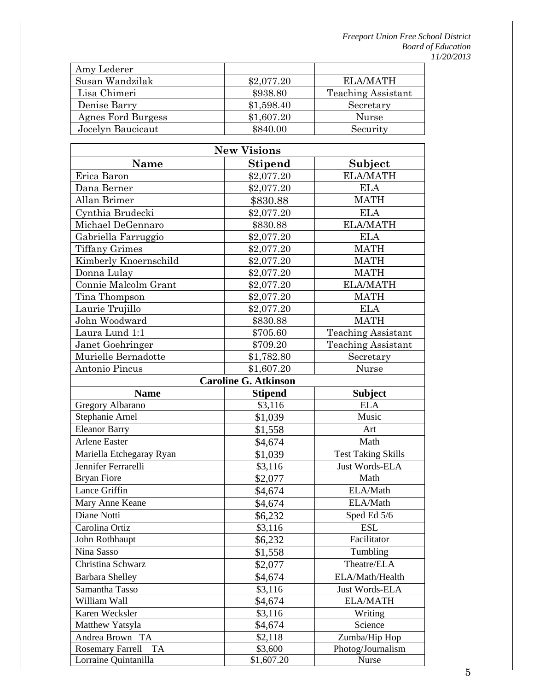| \$2,077.20 | ELA/MATH                  |
|------------|---------------------------|
| \$938.80   | <b>Teaching Assistant</b> |
| \$1,598.40 | Secretary                 |
| \$1,607.20 | Nurse                     |
| \$840.00   | Security                  |
|            |                           |

| <b>New Visions</b>                   |                             |                           |  |
|--------------------------------------|-----------------------------|---------------------------|--|
| Name                                 | <b>Stipend</b>              | Subject                   |  |
| Erica Baron                          | \$2,077.20                  | <b>ELA/MATH</b>           |  |
| Dana Berner                          | \$2,077.20                  | <b>ELA</b>                |  |
| Allan Brimer                         | \$830.88                    | <b>MATH</b>               |  |
| Cynthia Brudecki                     | \$2,077.20                  | <b>ELA</b>                |  |
| Michael DeGennaro                    | \$830.88                    | <b>ELA/MATH</b>           |  |
| Gabriella Farruggio                  | \$2,077.20                  | <b>ELA</b>                |  |
| <b>Tiffany Grimes</b>                | \$2,077.20                  | <b>MATH</b>               |  |
| Kimberly Knoernschild                | \$2,077.20                  | <b>MATH</b>               |  |
| Donna Lulay                          | \$2,077.20                  | <b>MATH</b>               |  |
| Connie Malcolm Grant                 | \$2,077.20                  | <b>ELA/MATH</b>           |  |
| Tina Thompson                        | \$2,077.20                  | <b>MATH</b>               |  |
| Laurie Trujillo                      | \$2,077.20                  | <b>ELA</b>                |  |
| John Woodward                        | \$830.88                    | <b>MATH</b>               |  |
| Laura Lund 1:1                       | \$705.60                    | Teaching Assistant        |  |
| Janet Goehringer                     | \$709.20                    | <b>Teaching Assistant</b> |  |
| Murielle Bernadotte                  | \$1,782.80                  | Secretary                 |  |
| Antonio Pincus                       | \$1,607.20                  | Nurse                     |  |
|                                      | <b>Caroline G. Atkinson</b> |                           |  |
| <b>Name</b>                          | <b>Stipend</b>              | <b>Subject</b>            |  |
| Gregory Albarano                     | \$3,116                     | <b>ELA</b>                |  |
| Stephanie Arnel                      | \$1,039                     | Music                     |  |
| <b>Eleanor Barry</b>                 | \$1,558                     | Art                       |  |
| <b>Arlene Easter</b>                 | \$4,674                     | Math                      |  |
| Mariella Etchegaray Ryan             | \$1,039                     | <b>Test Taking Skills</b> |  |
| Jennifer Ferrarelli                  | \$3,116                     | Just Words-ELA            |  |
| <b>Bryan Fiore</b>                   | \$2,077                     | Math                      |  |
| Lance Griffin                        | \$4,674                     | ELA/Math                  |  |
| Mary Anne Keane                      | \$4,674                     | ELA/Math                  |  |
| Diane Notti                          | \$6,232                     | Sped Ed 5/6               |  |
| Carolina Ortiz                       | \$3,116                     | <b>ESL</b>                |  |
| John Rothhaupt                       | \$6,232                     | Facilitator               |  |
| Nina Sasso                           | \$1,558                     | Tumbling                  |  |
| Christina Schwarz                    | \$2,077                     | Theatre/ELA               |  |
| <b>Barbara Shelley</b>               | \$4,674                     | ELA/Math/Health           |  |
| Samantha Tasso                       | \$3,116                     | Just Words-ELA            |  |
| William Wall                         | \$4,674                     | <b>ELA/MATH</b>           |  |
| Karen Wecksler                       | \$3,116                     | Writing                   |  |
| Matthew Yatsyla                      | \$4,674                     | Science                   |  |
| Andrea Brown TA                      | \$2,118                     | Zumba/Hip Hop             |  |
| <b>Rosemary Farrell</b><br><b>TA</b> | \$3,600                     | Photog/Journalism         |  |
| Lorraine Quintanilla                 | \$1,607.20                  | Nurse                     |  |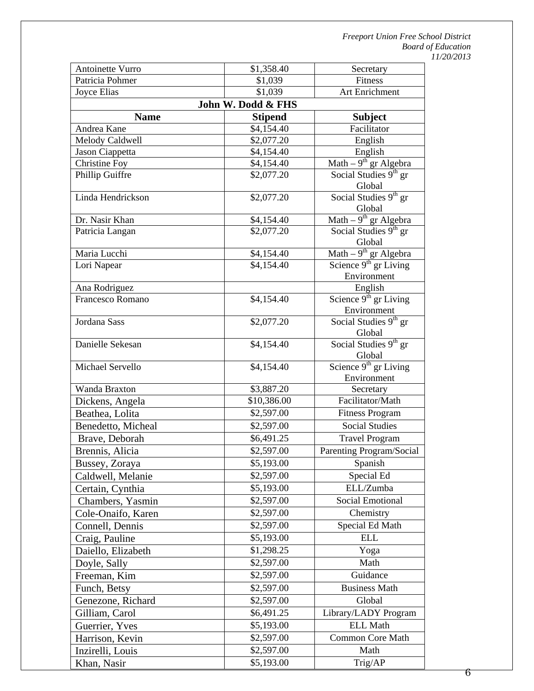| Antoinette Vurro                                | \$1,358.40         | Secretary                                        |  |  |  |
|-------------------------------------------------|--------------------|--------------------------------------------------|--|--|--|
| Patricia Pohmer                                 | \$1,039            | Fitness                                          |  |  |  |
| Joyce Elias                                     | \$1,039            | Art Enrichment                                   |  |  |  |
|                                                 | John W. Dodd & FHS |                                                  |  |  |  |
| <b>Name</b><br><b>Subject</b><br><b>Stipend</b> |                    |                                                  |  |  |  |
| Andrea Kane                                     | \$4,154.40         | Facilitator                                      |  |  |  |
| Melody Caldwell                                 | \$2,077.20         | English                                          |  |  |  |
| Jason Ciappetta                                 | \$4,154.40         | English                                          |  |  |  |
| Christine Foy                                   | \$4,154.40         | Math $-9$ <sup>th</sup> gr Algebra               |  |  |  |
| Phillip Guiffre                                 | \$2,077.20         | Social Studies 9th gr<br>Global                  |  |  |  |
| Linda Hendrickson                               | \$2,077.20         | Social Studies 9 <sup>th</sup> gr<br>Global      |  |  |  |
| Dr. Nasir Khan                                  | \$4,154.40         | Math $-9$ <sup>th</sup> gr Algebra               |  |  |  |
| Patricia Langan                                 | \$2,077.20         | Social Studies 9 <sup>th</sup> gr<br>Global      |  |  |  |
| Maria Lucchi                                    | \$4,154.40         | Math $-9$ <sup>th</sup> gr Algebra               |  |  |  |
| Lori Napear                                     | \$4,154.40         | Science $9th$ gr Living<br>Environment           |  |  |  |
| Ana Rodriguez                                   |                    | English                                          |  |  |  |
| Francesco Romano                                | \$4,154.40         | Science $9^{\text{th}}$ gr Living<br>Environment |  |  |  |
| Jordana Sass                                    | \$2,077.20         | Social Studies 9 <sup>th</sup> gr<br>Global      |  |  |  |
| Danielle Sekesan                                | \$4,154.40         | Social Studies 9 <sup>th</sup> gr<br>Global      |  |  |  |
| Michael Servello                                | \$4,154.40         | Science 9 <sup>th</sup> gr Living<br>Environment |  |  |  |
| Wanda Braxton                                   | \$3,887.20         | Secretary                                        |  |  |  |
| Dickens, Angela                                 | \$10,386.00        | Facilitator/Math                                 |  |  |  |
| Beathea, Lolita                                 | \$2,597.00         | <b>Fitness Program</b>                           |  |  |  |
| Benedetto, Micheal                              | \$2,597.00         | <b>Social Studies</b>                            |  |  |  |
| Brave, Deborah                                  | \$6,491.25         | <b>Travel Program</b>                            |  |  |  |
| Brennis, Alicia                                 | \$2,597.00         | Parenting Program/Social                         |  |  |  |
| Bussey, Zoraya                                  | \$5,193.00         | Spanish                                          |  |  |  |
| Caldwell, Melanie                               | \$2,597.00         | Special Ed                                       |  |  |  |
| Certain, Cynthia                                | \$5,193.00         | ELL/Zumba                                        |  |  |  |
| Chambers, Yasmin                                | \$2,597.00         | Social Emotional                                 |  |  |  |
| Cole-Onaifo, Karen                              | \$2,597.00         | Chemistry                                        |  |  |  |
|                                                 | \$2,597.00         | Special Ed Math                                  |  |  |  |
| Connell, Dennis                                 | \$5,193.00         | <b>ELL</b>                                       |  |  |  |
| Craig, Pauline                                  |                    | Yoga                                             |  |  |  |
| Daiello, Elizabeth                              | \$1,298.25         |                                                  |  |  |  |
| Doyle, Sally                                    | \$2,597.00         | Math                                             |  |  |  |
| Freeman, Kim                                    | \$2,597.00         | Guidance                                         |  |  |  |
| Funch, Betsy                                    | \$2,597.00         | <b>Business Math</b>                             |  |  |  |
| Genezone, Richard                               | \$2,597.00         | Global                                           |  |  |  |
| Gilliam, Carol                                  | \$6,491.25         | Library/LADY Program                             |  |  |  |
| Guerrier, Yves                                  | \$5,193.00         | <b>ELL Math</b>                                  |  |  |  |
| Harrison, Kevin                                 | \$2,597.00         | Common Core Math                                 |  |  |  |
| Inzirelli, Louis                                | \$2,597.00         | Math                                             |  |  |  |
| Khan, Nasir                                     | \$5,193.00         | Trig/AP                                          |  |  |  |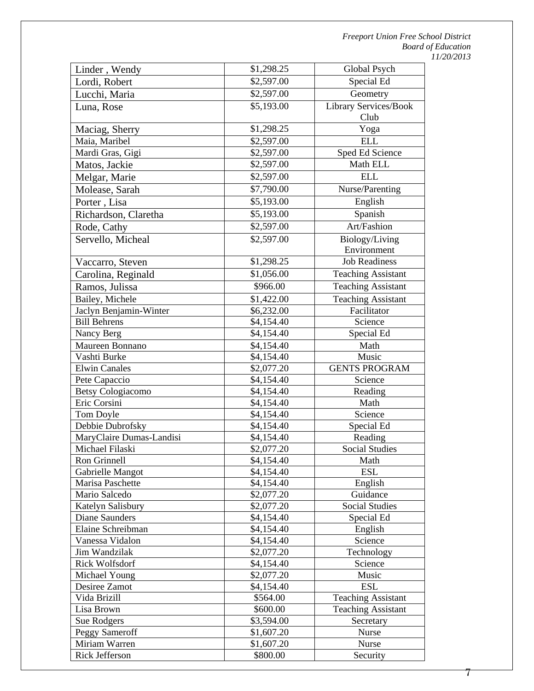| Linder, Wendy                   | \$1,298.25             | Global Psych              |
|---------------------------------|------------------------|---------------------------|
| Lordi, Robert                   | \$2,597.00             | Special Ed                |
| Lucchi, Maria                   | \$2,597.00             | Geometry                  |
| Luna, Rose                      | \$5,193.00             | Library Services/Book     |
|                                 |                        | Club                      |
| Maciag, Sherry                  | \$1,298.25             | Yoga                      |
| Maia, Maribel                   | \$2,597.00             | <b>ELL</b>                |
| Mardi Gras, Gigi                | \$2,597.00             | Sped Ed Science           |
| Matos, Jackie                   | \$2,597.00             | Math ELL                  |
| Melgar, Marie                   | \$2,597.00             | <b>ELL</b>                |
| Molease, Sarah                  | \$7,790.00             | Nurse/Parenting           |
| Porter, Lisa                    | \$5,193.00             | English                   |
| Richardson, Claretha            | \$5,193.00             | Spanish                   |
| Rode, Cathy                     | \$2,597.00             | Art/Fashion               |
| Servello, Micheal               | \$2,597.00             | Biology/Living            |
|                                 |                        | Environment               |
| Vaccarro, Steven                | \$1,298.25             | <b>Job Readiness</b>      |
| Carolina, Reginald              | \$1,056.00             | <b>Teaching Assistant</b> |
| Ramos, Julissa                  | \$966.00               | <b>Teaching Assistant</b> |
| Bailey, Michele                 | \$1,422.00             | <b>Teaching Assistant</b> |
| Jaclyn Benjamin-Winter          | \$6,232.00             | Facilitator               |
| <b>Bill Behrens</b>             | \$4,154.40             | Science                   |
| Nancy Berg                      | \$4,154.40             | Special Ed                |
| Maureen Bonnano                 | \$4,154.40             | Math                      |
| Vashti Burke                    | \$4,154.40             | Music                     |
| <b>Elwin Canales</b>            | \$2,077.20             | <b>GENTS PROGRAM</b>      |
| Pete Capaccio                   | \$4,154.40             | Science                   |
| <b>Betsy Cologiacomo</b>        | \$4,154.40             | Reading                   |
| Eric Corsini                    | \$4,154.40             | Math                      |
| Tom Doyle                       | \$4,154.40             | Science                   |
| Debbie Dubrofsky                | $\overline{$}4,154.40$ | Special Ed                |
| MaryClaire Dumas-Landisi        | \$4,154.40             | Reading                   |
| Michael Filaski                 | \$2,077.20             | <b>Social Studies</b>     |
| Ron Grinnell                    | \$4,154.40             | Math                      |
| Gabrielle Mangot                | \$4,154.40             | <b>ESL</b>                |
| Marisa Paschette                | \$4,154.40             | English                   |
| Mario Salcedo                   | \$2,077.20             | Guidance                  |
| Katelyn Salisbury               | \$2,077.20             | Social Studies            |
| <b>Diane Saunders</b>           | \$4,154.40             | Special Ed                |
| Elaine Schreibman               | \$4,154.40             | English                   |
| Vanessa Vidalon                 | \$4,154.40             | Science                   |
| Jim Wandzilak                   | \$2,077.20             | Technology                |
| <b>Rick Wolfsdorf</b>           | \$4,154.40             | Science                   |
| Michael Young                   | \$2,077.20             | Music                     |
| Desiree Zamot                   | \$4,154.40             | <b>ESL</b>                |
| Vida Brizill                    | \$564.00               | <b>Teaching Assistant</b> |
| Lisa Brown                      | \$600.00               | <b>Teaching Assistant</b> |
| Sue Rodgers                     | \$3,594.00             | Secretary                 |
| Peggy Sameroff                  | \$1,607.20             | Nurse                     |
| Miriam Warren<br>Rick Jefferson | \$1,607.20<br>\$800.00 | Nurse                     |
|                                 |                        | Security                  |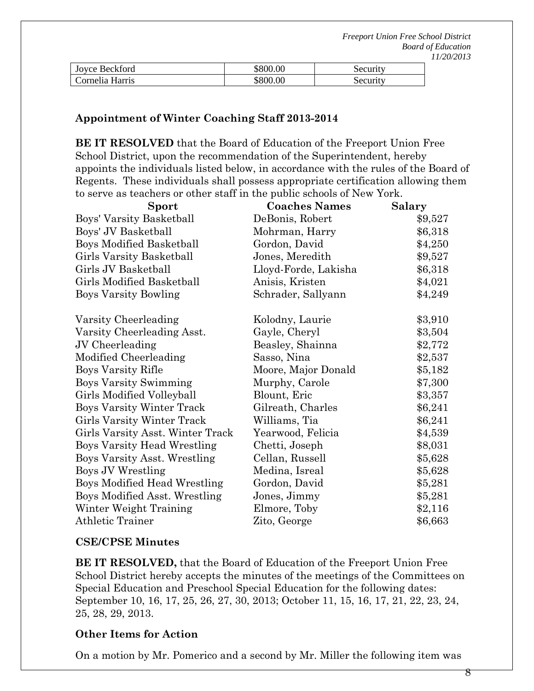| Joyce Beckford  | \$800.00 | Security |
|-----------------|----------|----------|
| Cornelia Harris | \$800.00 | Security |

#### **Appointment of Winter Coaching Staff 2013-2014**

**BE IT RESOLVED** that the Board of Education of the Freeport Union Free School District, upon the recommendation of the Superintendent, hereby appoints the individuals listed below, in accordance with the rules of the Board of Regents. These individuals shall possess appropriate certification allowing them to serve as teachers or other staff in the public schools of New York.

| Sport                            | <b>Coaches Names</b> | Salary  |
|----------------------------------|----------------------|---------|
| Boys' Varsity Basketball         | DeBonis, Robert      | \$9,527 |
| Boys' JV Basketball              | Mohrman, Harry       | \$6,318 |
| <b>Boys Modified Basketball</b>  | Gordon, David        | \$4,250 |
| Girls Varsity Basketball         | Jones, Meredith      | \$9,527 |
| Girls JV Basketball              | Lloyd-Forde, Lakisha | \$6,318 |
| Girls Modified Basketball        | Anisis, Kristen      | \$4,021 |
| <b>Boys Varsity Bowling</b>      | Schrader, Sallyann   | \$4,249 |
| Varsity Cheerleading             | Kolodny, Laurie      | \$3,910 |
| Varsity Cheerleading Asst.       | Gayle, Cheryl        | \$3,504 |
| JV Cheerleading                  | Beasley, Shainna     | \$2,772 |
| Modified Cheerleading            | Sasso, Nina          | \$2,537 |
| Boys Varsity Rifle               | Moore, Major Donald  | \$5,182 |
| <b>Boys Varsity Swimming</b>     | Murphy, Carole       | \$7,300 |
| Girls Modified Volleyball        | Blount, Eric         | \$3,357 |
| <b>Boys Varsity Winter Track</b> | Gilreath, Charles    | \$6,241 |
| Girls Varsity Winter Track       | Williams, Tia        | \$6,241 |
| Girls Varsity Asst. Winter Track | Yearwood, Felicia    | \$4,539 |
| Boys Varsity Head Wrestling      | Chetti, Joseph       | \$8,031 |
| Boys Varsity Asst. Wrestling     | Cellan, Russell      | \$5,628 |
| <b>Boys JV Wrestling</b>         | Medina, Isreal       | \$5,628 |
| Boys Modified Head Wrestling     | Gordon, David        | \$5,281 |
| Boys Modified Asst. Wrestling    | Jones, Jimmy         | \$5,281 |
| Winter Weight Training           | Elmore, Toby         | \$2,116 |
| <b>Athletic Trainer</b>          | Zito, George         | \$6,663 |

#### **CSE/CPSE Minutes**

**BE IT RESOLVED,** that the Board of Education of the Freeport Union Free School District hereby accepts the minutes of the meetings of the Committees on Special Education and Preschool Special Education for the following dates: September 10, 16, 17, 25, 26, 27, 30, 2013; October 11, 15, 16, 17, 21, 22, 23, 24, 25, 28, 29, 2013.

#### **Other Items for Action**

On a motion by Mr. Pomerico and a second by Mr. Miller the following item was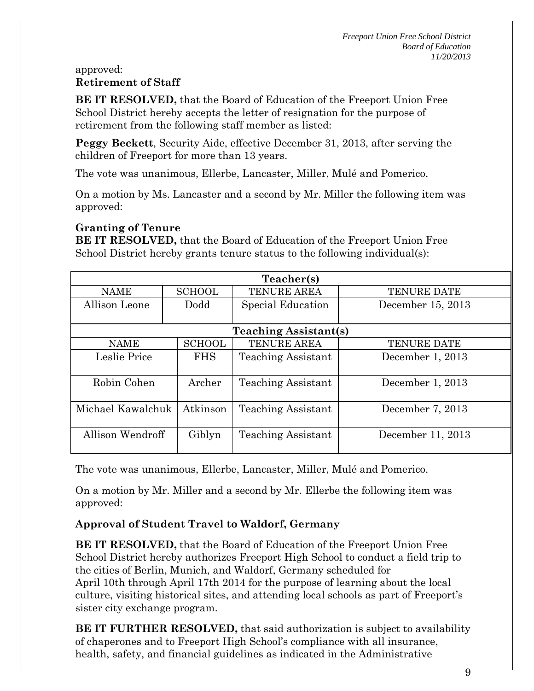#### approved: **Retirement of Staff**

**BE IT RESOLVED,** that the Board of Education of the Freeport Union Free School District hereby accepts the letter of resignation for the purpose of retirement from the following staff member as listed:

**Peggy Beckett**, Security Aide, effective December 31, 2013, after serving the children of Freeport for more than 13 years.

The vote was unanimous, Ellerbe, Lancaster, Miller, Mulé and Pomerico.

On a motion by Ms. Lancaster and a second by Mr. Miller the following item was approved:

## **Granting of Tenure**

**BE IT RESOLVED,** that the Board of Education of the Freeport Union Free School District hereby grants tenure status to the following individual(s):

| Teacher(s)        |               |                              |                    |  |
|-------------------|---------------|------------------------------|--------------------|--|
| <b>NAME</b>       | <b>SCHOOL</b> | <b>TENURE AREA</b>           | <b>TENURE DATE</b> |  |
| Allison Leone     | Dodd          | Special Education            | December 15, 2013  |  |
|                   |               |                              |                    |  |
|                   |               | <b>Teaching Assistant(s)</b> |                    |  |
| <b>NAME</b>       | <b>SCHOOL</b> | TENURE AREA                  | <b>TENURE DATE</b> |  |
| Leslie Price      | <b>FHS</b>    | <b>Teaching Assistant</b>    | December 1, 2013   |  |
|                   |               |                              |                    |  |
| Robin Cohen       | Archer        | <b>Teaching Assistant</b>    | December 1, 2013   |  |
|                   |               |                              |                    |  |
| Michael Kawalchuk | Atkinson      | <b>Teaching Assistant</b>    | December 7, 2013   |  |
|                   |               |                              |                    |  |
| Allison Wendroff  | Giblyn        | <b>Teaching Assistant</b>    | December 11, 2013  |  |
|                   |               |                              |                    |  |

The vote was unanimous, Ellerbe, Lancaster, Miller, Mulé and Pomerico.

On a motion by Mr. Miller and a second by Mr. Ellerbe the following item was approved:

# **Approval of Student Travel to Waldorf, Germany**

**BE IT RESOLVED,** that the Board of Education of the Freeport Union Free School District hereby authorizes Freeport High School to conduct a field trip to the cities of Berlin, Munich, and Waldorf, Germany scheduled for April 10th through April 17th 2014 for the purpose of learning about the local culture, visiting historical sites, and attending local schools as part of Freeport's sister city exchange program.

**BE IT FURTHER RESOLVED,** that said authorization is subject to availability of chaperones and to Freeport High School's compliance with all insurance, health, safety, and financial guidelines as indicated in the Administrative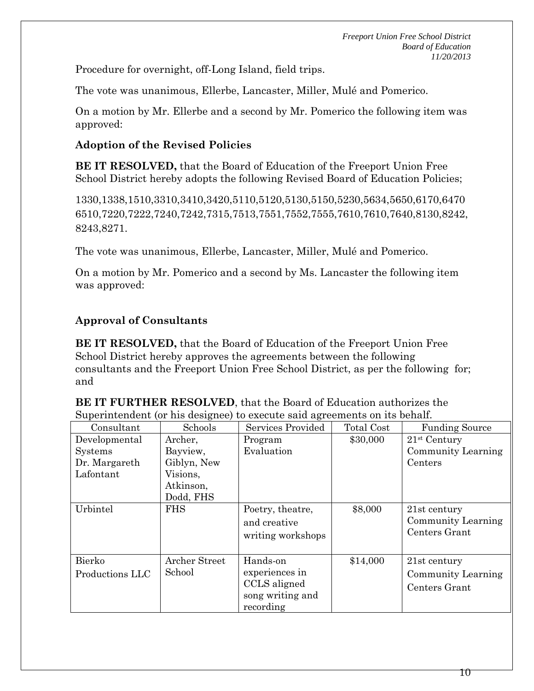Procedure for overnight, off-Long Island, field trips.

The vote was unanimous, Ellerbe, Lancaster, Miller, Mulé and Pomerico.

On a motion by Mr. Ellerbe and a second by Mr. Pomerico the following item was approved:

### **Adoption of the Revised Policies**

**BE IT RESOLVED,** that the Board of Education of the Freeport Union Free School District hereby adopts the following Revised Board of Education Policies;

1330,1338,1510,3310,3410,3420,5110,5120,5130,5150,5230,5634,5650,6170,6470 6510,7220,7222,7240,7242,7315,7513,7551,7552,7555,7610,7610,7640,8130,8242, 8243,8271.

The vote was unanimous, Ellerbe, Lancaster, Miller, Mulé and Pomerico.

On a motion by Mr. Pomerico and a second by Ms. Lancaster the following item was approved:

## **Approval of Consultants**

**BE IT RESOLVED,** that the Board of Education of the Freeport Union Free School District hereby approves the agreements between the following consultants and the Freeport Union Free School District, as per the following for; and

**BE IT FURTHER RESOLVED**, that the Board of Education authorizes the Superintendent (or his designee) to execute said agreements on its behalf.

| Consultant      | Schools              | Services Provided                                     | Total Cost | <b>Funding Source</b>                               |
|-----------------|----------------------|-------------------------------------------------------|------------|-----------------------------------------------------|
| Developmental   | Archer,              | Program                                               | \$30,000   | $21st$ Century                                      |
| <b>Systems</b>  | Bayview,             | Evaluation                                            |            | Community Learning                                  |
| Dr. Margareth   | Giblyn, New          |                                                       |            | Centers                                             |
| Lafontant       | Visions,             |                                                       |            |                                                     |
|                 | Atkinson,            |                                                       |            |                                                     |
|                 | Dodd, FHS            |                                                       |            |                                                     |
| Urbintel        | <b>FHS</b>           | Poetry, theatre,<br>and creative<br>writing workshops | \$8,000    | 21st century<br>Community Learning<br>Centers Grant |
| Bierko          | <b>Archer Street</b> | Hands-on                                              | \$14,000   | 21st century                                        |
| Productions LLC | School               | experiences in                                        |            | Community Learning                                  |
|                 |                      | CCLS aligned                                          |            | Centers Grant                                       |
|                 |                      | song writing and                                      |            |                                                     |
|                 |                      | recording                                             |            |                                                     |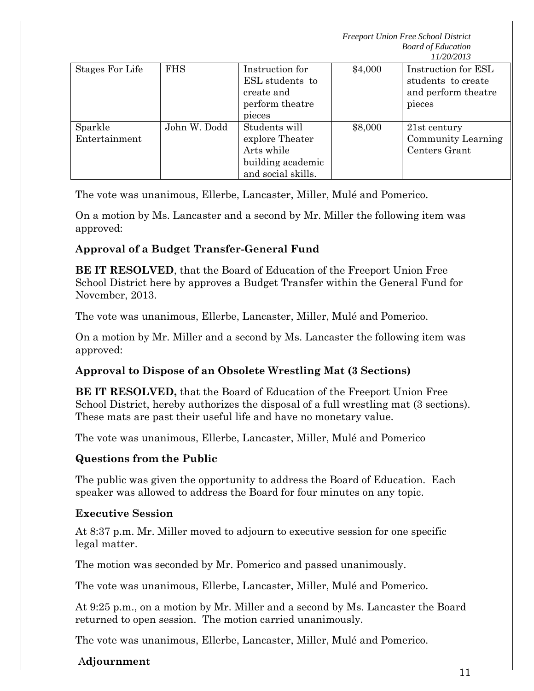| Stages For Life          | <b>FHS</b>   | Instruction for<br>ESL students to<br>create and<br>perform theatre<br>pieces             | \$4,000 | Instruction for ESL<br>students to create<br>and perform theatre<br>pieces |
|--------------------------|--------------|-------------------------------------------------------------------------------------------|---------|----------------------------------------------------------------------------|
| Sparkle<br>Entertainment | John W. Dodd | Students will<br>explore Theater<br>Arts while<br>building academic<br>and social skills. | \$8,000 | 21st century<br><b>Community Learning</b><br>Centers Grant                 |

The vote was unanimous, Ellerbe, Lancaster, Miller, Mulé and Pomerico.

On a motion by Ms. Lancaster and a second by Mr. Miller the following item was approved:

# **Approval of a Budget Transfer-General Fund**

**BE IT RESOLVED**, that the Board of Education of the Freeport Union Free School District here by approves a Budget Transfer within the General Fund for November, 2013.

The vote was unanimous, Ellerbe, Lancaster, Miller, Mulé and Pomerico.

On a motion by Mr. Miller and a second by Ms. Lancaster the following item was approved:

# **Approval to Dispose of an Obsolete Wrestling Mat (3 Sections)**

**BE IT RESOLVED,** that the Board of Education of the Freeport Union Free School District, hereby authorizes the disposal of a full wrestling mat (3 sections). These mats are past their useful life and have no monetary value.

The vote was unanimous, Ellerbe, Lancaster, Miller, Mulé and Pomerico

# **Questions from the Public**

The public was given the opportunity to address the Board of Education. Each speaker was allowed to address the Board for four minutes on any topic.

# **Executive Session**

At 8:37 p.m. Mr. Miller moved to adjourn to executive session for one specific legal matter.

The motion was seconded by Mr. Pomerico and passed unanimously.

The vote was unanimous, Ellerbe, Lancaster, Miller, Mulé and Pomerico.

At 9:25 p.m., on a motion by Mr. Miller and a second by Ms. Lancaster the Board returned to open session. The motion carried unanimously.

The vote was unanimous, Ellerbe, Lancaster, Miller, Mulé and Pomerico.

# A**djournment**